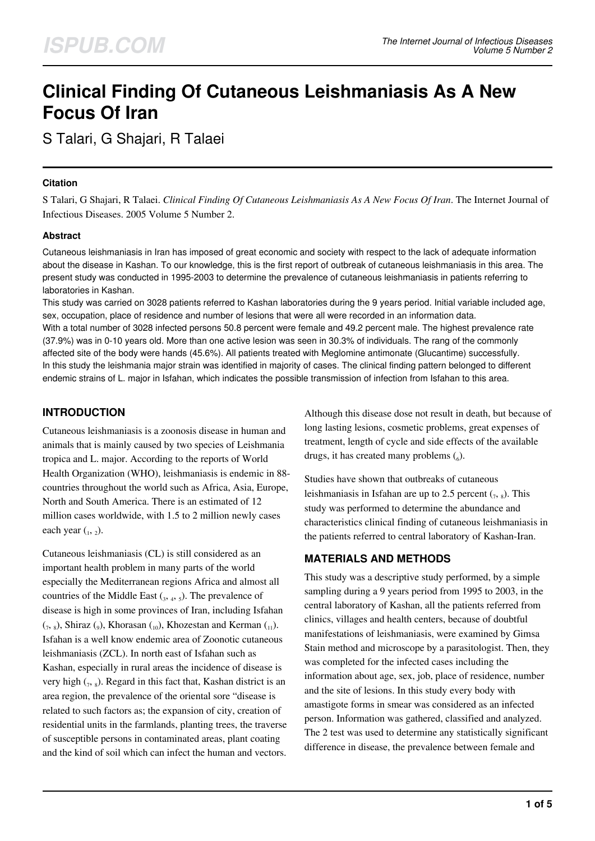# **Clinical Finding Of Cutaneous Leishmaniasis As A New Focus Of Iran**

S Talari, G Shajari, R Talaei

## **Citation**

S Talari, G Shajari, R Talaei. *Clinical Finding Of Cutaneous Leishmaniasis As A New Focus Of Iran*. The Internet Journal of Infectious Diseases. 2005 Volume 5 Number 2.

## **Abstract**

Cutaneous leishmaniasis in Iran has imposed of great economic and society with respect to the lack of adequate information about the disease in Kashan. To our knowledge, this is the first report of outbreak of cutaneous leishmaniasis in this area. The present study was conducted in 1995-2003 to determine the prevalence of cutaneous leishmaniasis in patients referring to laboratories in Kashan.

This study was carried on 3028 patients referred to Kashan laboratories during the 9 years period. Initial variable included age, sex, occupation, place of residence and number of lesions that were all were recorded in an information data. With a total number of 3028 infected persons 50.8 percent were female and 49.2 percent male. The highest prevalence rate (37.9%) was in 0-10 years old. More than one active lesion was seen in 30.3% of individuals. The rang of the commonly affected site of the body were hands (45.6%). All patients treated with Meglomine antimonate (Glucantime) successfully. In this study the leishmania major strain was identified in majority of cases. The clinical finding pattern belonged to different endemic strains of L. major in Isfahan, which indicates the possible transmission of infection from Isfahan to this area.

# **INTRODUCTION**

Cutaneous leishmaniasis is a zoonosis disease in human and animals that is mainly caused by two species of Leishmania tropica and L. major. According to the reports of World Health Organization (WHO), leishmaniasis is endemic in 88 countries throughout the world such as Africa, Asia, Europe, North and South America. There is an estimated of 12 million cases worldwide, with 1.5 to 2 million newly cases each year  $\binom{1}{2}$ .

Cutaneous leishmaniasis (CL) is still considered as an important health problem in many parts of the world especially the Mediterranean regions Africa and almost all countries of the Middle East  $({}_{3}, , _{4}, , _{5})$ . The prevalence of disease is high in some provinces of Iran, including Isfahan  $(1, 8)$ , Shiraz  $(0)$ , Khorasan  $(10)$ , Khozestan and Kerman  $(11)$ . Isfahan is a well know endemic area of Zoonotic cutaneous leishmaniasis (ZCL). In north east of Isfahan such as Kashan, especially in rural areas the incidence of disease is very high  $_{(7, 8)}$ . Regard in this fact that, Kashan district is an area region, the prevalence of the oriental sore "disease is related to such factors as; the expansion of city, creation of residential units in the farmlands, planting trees, the traverse of susceptible persons in contaminated areas, plant coating and the kind of soil which can infect the human and vectors. Although this disease dose not result in death, but because of long lasting lesions, cosmetic problems, great expenses of treatment, length of cycle and side effects of the available drugs, it has created many problems  $\binom{6}{6}$ .

Studies have shown that outbreaks of cutaneous leishmaniasis in Isfahan are up to 2.5 percent  $(7, 8)$ . This study was performed to determine the abundance and characteristics clinical finding of cutaneous leishmaniasis in the patients referred to central laboratory of Kashan-Iran.

# **MATERIALS AND METHODS**

This study was a descriptive study performed, by a simple sampling during a 9 years period from 1995 to 2003, in the central laboratory of Kashan, all the patients referred from clinics, villages and health centers, because of doubtful manifestations of leishmaniasis, were examined by Gimsa Stain method and microscope by a parasitologist. Then, they was completed for the infected cases including the information about age, sex, job, place of residence, number and the site of lesions. In this study every body with amastigote forms in smear was considered as an infected person. Information was gathered, classified and analyzed. The 2 test was used to determine any statistically significant difference in disease, the prevalence between female and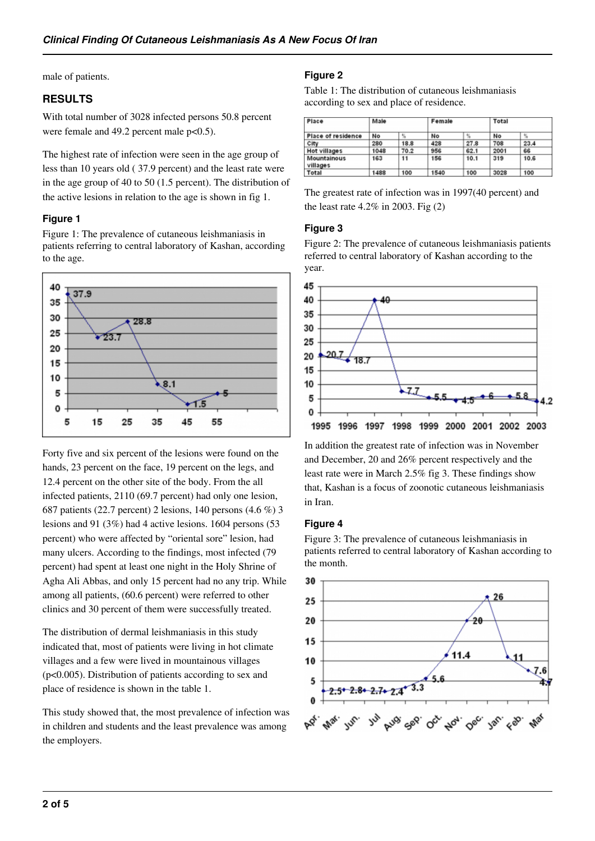male of patients.

# **RESULTS**

With total number of 3028 infected persons 50.8 percent were female and 49.2 percent male  $p<0.5$ ).

The highest rate of infection were seen in the age group of less than 10 years old ( 37.9 percent) and the least rate were in the age group of 40 to 50 (1.5 percent). The distribution of the active lesions in relation to the age is shown in fig 1.

## **Figure 1**

Figure 1: The prevalence of cutaneous leishmaniasis in patients referring to central laboratory of Kashan, according to the age.



Forty five and six percent of the lesions were found on the hands, 23 percent on the face, 19 percent on the legs, and 12.4 percent on the other site of the body. From the all infected patients, 2110 (69.7 percent) had only one lesion, 687 patients (22.7 percent) 2 lesions, 140 persons (4.6 %) 3 lesions and 91 (3%) had 4 active lesions. 1604 persons (53 percent) who were affected by "oriental sore" lesion, had many ulcers. According to the findings, most infected (79 percent) had spent at least one night in the Holy Shrine of Agha Ali Abbas, and only 15 percent had no any trip. While among all patients, (60.6 percent) were referred to other clinics and 30 percent of them were successfully treated.

The distribution of dermal leishmaniasis in this study indicated that, most of patients were living in hot climate villages and a few were lived in mountainous villages (p<0.005). Distribution of patients according to sex and place of residence is shown in the table 1.

This study showed that, the most prevalence of infection was in children and students and the least prevalence was among the employers.

# **Figure 2**

Table 1: The distribution of cutaneous leishmaniasis according to sex and place of residence.

| Place<br><b>Place of residence</b> | Male |      | Female |      | Total |                  |
|------------------------------------|------|------|--------|------|-------|------------------|
|                                    | No   | %    | No     | y,   | No    | $\gamma_{\rm s}$ |
| City                               | 280  | 18.8 | 428    | 27.8 | 708   | 23.4             |
| Hot villages                       | 1048 | 70.2 | 956    | 62.1 | 2001  | 66               |
| Mountainous<br>villages            | 163  | 11   | 156    | 10.1 | 319   | 10.6             |
| Total                              | 1488 | 100  | 1540   | 100  | 3028  | 100              |

The greatest rate of infection was in 1997(40 percent) and the least rate  $4.2\%$  in 2003. Fig  $(2)$ 

## **Figure 3**

Figure 2: The prevalence of cutaneous leishmaniasis patients referred to central laboratory of Kashan according to the year.



In addition the greatest rate of infection was in November and December, 20 and 26% percent respectively and the least rate were in March 2.5% fig 3. These findings show that, Kashan is a focus of zoonotic cutaneous leishmaniasis in Iran.

#### **Figure 4**

Figure 3: The prevalence of cutaneous leishmaniasis in patients referred to central laboratory of Kashan according to the month.

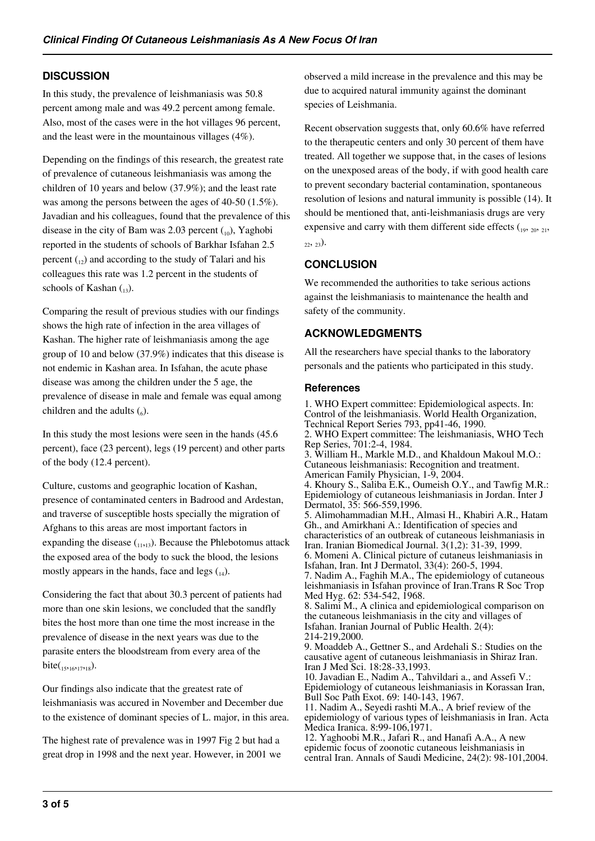# **DISCUSSION**

In this study, the prevalence of leishmaniasis was 50.8 percent among male and was 49.2 percent among female. Also, most of the cases were in the hot villages 96 percent, and the least were in the mountainous villages (4%).

Depending on the findings of this research, the greatest rate of prevalence of cutaneous leishmaniasis was among the children of 10 years and below (37.9%); and the least rate was among the persons between the ages of 40-50 (1.5%). Javadian and his colleagues, found that the prevalence of this disease in the city of Bam was 2.03 percent  $_{(10)}$ , Yaghobi reported in the students of schools of Barkhar Isfahan 2.5 percent  $_{12}$ ) and according to the study of Talari and his colleagues this rate was 1.2 percent in the students of schools of Kashan  $_{13}$ ).

Comparing the result of previous studies with our findings shows the high rate of infection in the area villages of Kashan. The higher rate of leishmaniasis among the age group of 10 and below (37.9%) indicates that this disease is not endemic in Kashan area. In Isfahan, the acute phase disease was among the children under the 5 age, the prevalence of disease in male and female was equal among children and the adults  $(_{6})$ .

In this study the most lesions were seen in the hands (45.6 percent), face (23 percent), legs (19 percent) and other parts of the body (12.4 percent).

Culture, customs and geographic location of Kashan, presence of contaminated centers in Badrood and Ardestan, and traverse of susceptible hosts specially the migration of Afghans to this areas are most important factors in expanding the disease  $(1,1,13)$ . Because the Phlebotomus attack the exposed area of the body to suck the blood, the lesions mostly appears in the hands, face and legs  $_{14}$ ).

Considering the fact that about 30.3 percent of patients had more than one skin lesions, we concluded that the sandfly bites the host more than one time the most increase in the prevalence of disease in the next years was due to the parasite enters the bloodstream from every area of the bite( $_{15,16,17,18}$ ).

Our findings also indicate that the greatest rate of leishmaniasis was accured in November and December due to the existence of dominant species of L. major, in this area.

The highest rate of prevalence was in 1997 Fig 2 but had a great drop in 1998 and the next year. However, in 2001 we observed a mild increase in the prevalence and this may be due to acquired natural immunity against the dominant species of Leishmania.

Recent observation suggests that, only 60.6% have referred to the therapeutic centers and only 30 percent of them have treated. All together we suppose that, in the cases of lesions on the unexposed areas of the body, if with good health care to prevent secondary bacterial contamination, spontaneous resolution of lesions and natural immunity is possible (14). It should be mentioned that, anti-leishmaniasis drugs are very expensive and carry with them different side effects  $\binom{19}{19}$ ,  $\frac{20}{21}$ ,  $_{22}$ ,  $_{23}$ ).

# **CONCLUSION**

We recommended the authorities to take serious actions against the leishmaniasis to maintenance the health and safety of the community.

# **ACKNOWLEDGMENTS**

All the researchers have special thanks to the laboratory personals and the patients who participated in this study.

## **References**

1. WHO Expert committee: Epidemiological aspects. In: Control of the leishmaniasis. World Health Organization, Technical Report Series 793, pp41-46, 1990. 2. WHO Expert committee: The leishmaniasis, WHO Tech Rep Series, 701:2-4, 1984. 3. William H., Markle M.D., and Khaldoun Makoul M.O.: Cutaneous leishmaniasis: Recognition and treatment. American Family Physician, 1-9, 2004. 4. Khoury S., Saliba E.K., Oumeish O.Y., and Tawfig M.R.: Epidemiology of cutaneous leishmaniasis in Jordan. Inter J Dermatol, 35: 566-559,1996. 5. Alimohammadian M.H., Almasi H., Khabiri A.R., Hatam Gh., and Amirkhani A.: Identification of species and characteristics of an outbreak of cutaneous leishmaniasis in Iran. Iranian Biomedical Journal. 3(1,2): 31-39, 1999. 6. Momeni A. Clinical picture of cutaneus leishmaniasis in Isfahan, Iran. Int J Dermatol, 33(4): 260-5, 1994. 7. Nadim A., Faghih M.A., The epidemiology of cutaneous leishmaniasis in Isfahan province of Iran.Trans R Soc Trop Med Hyg. 62: 534-542, 1968. 8. Salimi M., A clinica and epidemiological comparison on the cutaneous leishmaniasis in the city and villages of Isfahan. Iranian Journal of Public Health. 2(4): 214-219,2000. 9. Moaddeb A., Gettner S., and Ardehali S.: Studies on the causative agent of cutaneous leishmaniasis in Shiraz Iran. Iran J Med Sci. 18:28-33,1993. 10. Javadian E., Nadim A., Tahvildari a., and Assefi V.: Epidemiology of cutaneous leishmaniasis in Korassan Iran, Bull Soc Path Exot. 69: 140-143, 1967. 11. Nadim A., Seyedi rashti M.A., A brief review of the epidemiology of various types of leishmaniasis in Iran. Acta Medica Iranica. 8:99-106,1971.

12. Yaghoobi M.R., Jafari R., and Hanafi A.A., A new epidemic focus of zoonotic cutaneous leishmaniasis in central Iran. Annals of Saudi Medicine, 24(2): 98-101,2004.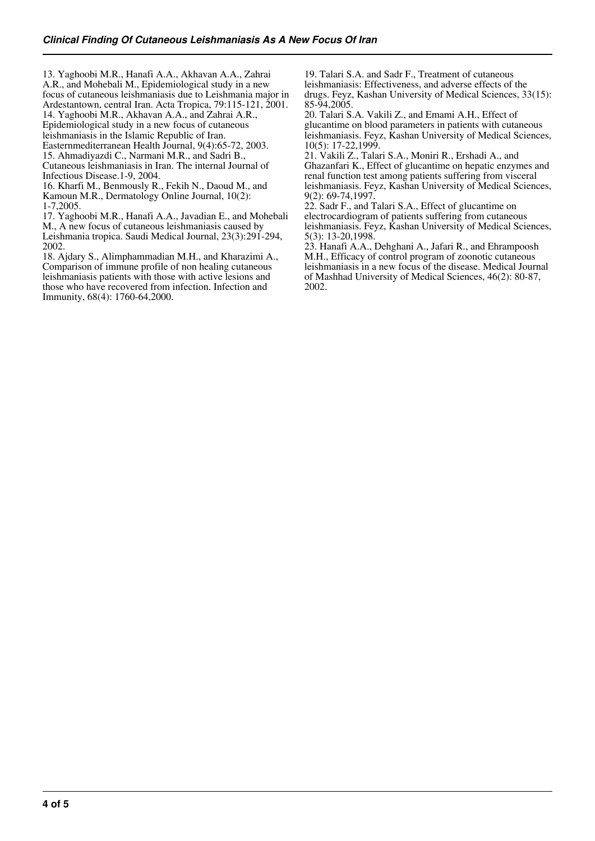13. Yaghoobi M.R., Hanafi A.A., Akhavan A.A., Zahrai A.R., and Mohebali M., Epidemiological study in a new focus of cutaneous leishmaniasis due to Leishmania major in Ardestantown, central Iran. Acta Tropica, 79:115-121, 2001. 14. Yaghoobi M.R., Akhavan A.A., and Zahrai A.R., Epidemiological study in a new focus of cutaneous leishmaniasis in the Islamic Republic of Iran. Easternmediterranean Health Journal, 9(4):65-72, 2003. 15. Ahmadiyazdi C., Narmani M.R., and Sadri B., Cutaneous leishmaniasis in Iran. The internal Journal of

Infectious Disease.1-9, 2004. 16. Kharfi M., Benmously R., Fekih N., Daoud M., and Kamoun M.R., Dermatology Online Journal, 10(2): 1-7,2005.

17. Yaghoobi M.R., Hanafi A.A., Javadian E., and Mohebali M., A new focus of cutaneous leishmaniasis caused by

Leishmania tropica. Saudi Medical Journal, 23(3):291-294, 2002.

18. Ajdary S., Alimphammadian M.H., and Kharazimi A., Comparison of immune profile of non healing cutaneous leishmaniasis patients with those with active lesions and those who have recovered from infection. Infection and Immunity, 68(4): 1760-64,2000.

19. Talari S.A. and Sadr F., Treatment of cutaneous leishmaniasis: Effectiveness, and adverse effects of the drugs. Feyz, Kashan University of Medical Sciences, 33(15): 85-94,2005.

20. Talari S.A. Vakili Z., and Emami A.H., Effect of glucantime on blood parameters in patients with cutaneous leishmaniasis. Feyz, Kashan University of Medical Sciences, 10(5): 17-22,1999.

21. Vakili Z., Talari S.A., Moniri R., Ershadi A., and Ghazanfari K., Effect of glucantime on hepatic enzymes and renal function test among patients suffering from visceral leishmaniasis. Feyz, Kashan University of Medical Sciences, 9(2): 69-74,1997.

22. Sadr F., and Talari S.A., Effect of glucantime on electrocardiogram of patients suffering from cutaneous leishmaniasis. Feyz, Kashan University of Medical Sciences, 5(3): 13-20,1998.

23. Hanafi A.A., Dehghani A., Jafari R., and Ehrampoosh M.H., Efficacy of control program of zoonotic cutaneous leishmaniasis in a new focus of the disease. Medical Journal of Mashhad University of Medical Sciences, 46(2): 80-87, 2002.